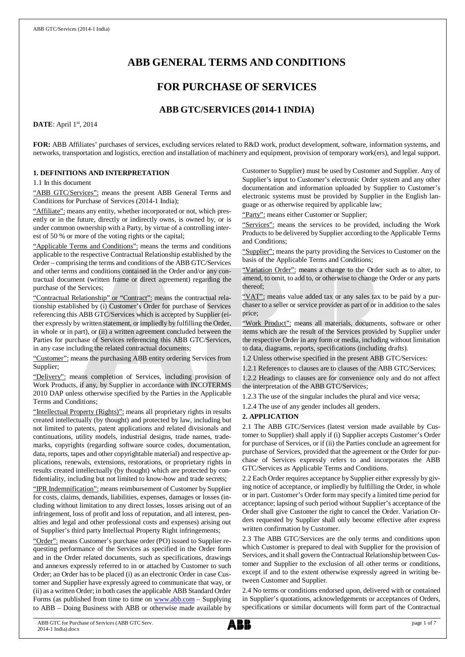# **ABB GENERAL TERMS AND CONDITIONS**

# **FOR PURCHASE OF SERVICES**

# **ABB GTC/SERVICES (2014-1 INDIA)**

## **DATE**: April 1st, 2014

**FOR:** ABB Affiliates' purchases of services, excluding services related to R&D work, product development, software, information systems, and networks, transportation and logistics, erection and installation of machinery and equipment, provision of temporary work(ers), and legal support.

## **1. DEFINITIONS AND INTERPRETATION**

1.1 In this document

"ABB GTC/Services": means the present ABB General Terms and Conditions for Purchase of Services (2014-1 India);

"Affiliate": means any entity, whether incorporated or not, which presently or in the future, directly or indirectly owns, is owned by, or is under common ownership with a Party, by virtue of a controlling interest of 50 % or more of the voting rights or the capital;

"Applicable Terms and Conditions": means the terms and conditions applicable to the respective Contractual Relationship established by the Order – comprising the terms and conditions of the ABB GTC/Services and other terms and conditions contained in the Order and/or any contractual document (written frame or direct agreement) regarding the purchase of the Services;

"Contractual Relationship" or "Contract": means the contractual relationship established by (i) Customer's Order for purchase of Services referencing this ABB GTC/Services which is accepted by Supplier (either expressly by written statement, or impliedly by fulfilling the Order, in whole or in part), or (ii) a written agreement concluded between the Parties for purchase of Services referencing this ABB GTC/Services, in any case including the related contractual documents;

"Customer": means the purchasing ABB entity ordering Services from Supplier;

"Delivery": means completion of Services, including provision of Work Products, if any, by Supplier in accordance with INCOTERMS 2010 DAP unless otherwise specified by the Parties in the Applicable Terms and Conditions;

"Intellectual Property (Rights)": means all proprietary rights in results created intellectually (by thought) and protected by law, including but not limited to patents, patent applications and related divisionals and continuations, utility models, industrial designs, trade names, trademarks, copyrights (regarding software source codes, documentation, data, reports, tapes and other copyrightable material) and respective applications, renewals, extensions, restorations, or proprietary rights in results created intellectually (by thought) which are protected by confidentiality, including but not limited to know-how and trade secrets;

"IPR Indemnification": means reimbursement of Customer by Supplier for costs, claims, demands, liabilities, expenses, damages or losses (including without limitation to any direct losses, losses arising out of an infringement, loss of profit and loss of reputation, and all interest, penalties and legal and other professional costs and expenses) arising out of Supplier's third party Intellectual Property Right infringements;

"Order": means Customer's purchase order (PO) issued to Supplier requesting performance of the Services as specified in the Order form and in the Order related documents, such as specifications, drawings and annexes expressly referred to in or attached by Customer to such Order; an Order has to be placed (i) as an electronic Order in case Customer and Supplier have expressly agreed to communicate that way, or (ii) as a written Order; in both cases the applicable ABB Standard Order Forms (as published from time to time on [www.abb.com](http://www.abb.com/) - Supplying to ABB – Doing Business with ABB or otherwise made available by Customer to Supplier) must be used by Customer and Supplier. Any of Supplier's input to Customer's electronic Order system and any other documentation and information uploaded by Supplier to Customer's electronic systems must be provided by Supplier in the English language or as otherwise required by applicable law;

"Party": means either Customer or Supplier;

"Services": means the services to be provided, including the Work Products to be delivered by Supplier according to the Applicable Terms and Conditions;

"Supplier": means the party providing the Services to Customer on the basis of the Applicable Terms and Conditions;

"Variation Order": means a change to the Order such as to alter, to amend, to omit, to add to, or otherwise to change the Order or any parts thereof;

"VAT": means value added tax or any sales tax to be paid by a purchaser to a seller or service provider as part of or in addition to the sales price;

"Work Product": means all materials, documents, software or other items which are the result of the Services provided by Supplier under the respective Order in any form or media, including without limitation to data, diagrams, reports, specifications (including drafts).

1.2 Unless otherwise specified in the present ABB GTC/Services:

1.2.1 References to clauses are to clauses of the ABB GTC/Services; 1.2.2 Headings to clauses are for convenience only and do not affect the interpretation of the ABB GTC/Services;

1.2.3 The use of the singular includes the plural and vice versa;

1.2.4 The use of any gender includes all genders.

## **2. APPLICATION**

2.1 The ABB GTC/Services (latest version made available by Customer to Supplier) shall apply if (i) Supplier accepts Customer's Order for purchase of Services, or if (ii) the Parties conclude an agreement for purchase of Services, provided that the agreement or the Order for purchase of Services expressly refers to and incorporates the ABB GTC/Services as Applicable Terms and Conditions.

2.2 Each Order requires acceptance by Supplier either expressly by giving notice of acceptance, or impliedly by fulfilling the Order, in whole or in part. Customer's Order form may specify a limited time period for acceptance; lapsing of such period without Supplier's acceptance of the Order shall give Customer the right to cancel the Order. Variation Orders requested by Supplier shall only become effective after express written confirmation by Customer.

2.3 The ABB GTC/Services are the only terms and conditions upon which Customer is prepared to deal with Supplier for the provision of Services, and it shall govern the Contractual Relationship between Customer and Supplier to the exclusion of all other terms or conditions, except if and to the extent otherwise expressly agreed in writing between Customer and Supplier.

2.4 No terms or conditions endorsed upon, delivered with or contained in Supplier's quotations, acknowledgements or acceptances of Orders, specifications or similar documents will form part of the Contractual

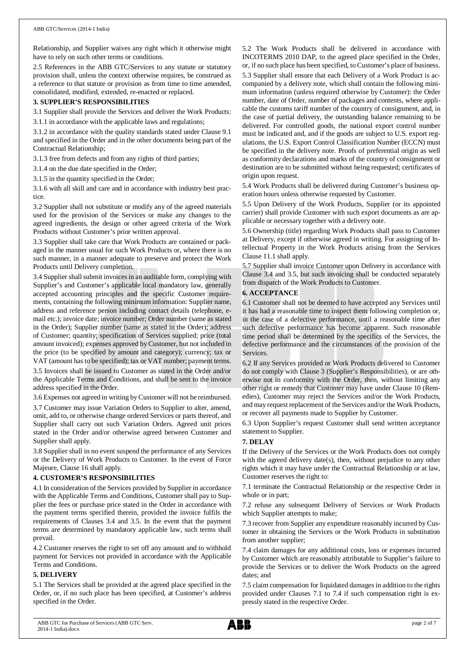Relationship, and Supplier waives any right which it otherwise might have to rely on such other terms or conditions.

2.5 References in the ABB GTC/Services to any statute or statutory provision shall, unless the context otherwise requires, be construed as a reference to that statute or provision as from time to time amended, consolidated, modified, extended, re-enacted or replaced.

## **3. SUPPLIER'S RESPONSIBILITIES**

3.1 Supplier shall provide the Services and deliver the Work Products:

3.1.1 in accordance with the applicable laws and regulations;

3.1.2 in accordance with the quality standards stated under Clause 9.1 and specified in the Order and in the other documents being part of the Contractual Relationship;

3.1.3 free from defects and from any rights of third parties;

3.1.4 on the due date specified in the Order;

3.1.5 in the quantity specified in the Order;

3.1.6 with all skill and care and in accordance with industry best practice.

3.2 Supplier shall not substitute or modify any of the agreed materials used for the provision of the Services or make any changes to the agreed ingredients, the design or other agreed criteria of the Work Products without Customer's prior written approval.

3.3 Supplier shall take care that Work Products are contained or packaged in the manner usual for such Work Products or, where there is no such manner, in a manner adequate to preserve and protect the Work Products until Delivery completion.

3.4 Supplier shall submit invoices in an auditable form, complying with Supplier's and Customer's applicable local mandatory law, generally accepted accounting principles and the specific Customer requirements, containing the following minimum information: Supplier name, address and reference person including contact details (telephone, email etc.); invoice date; invoice number; Order number (same as stated in the Order); Supplier number (same as stated in the Order); address of Customer; quantity; specification of Services supplied; price (total amount invoiced); expenses approved by Customer, but not included in the price (to be specified by amount and category); currency; tax or VAT (amount has to be specified); tax or VAT number; payment terms. 3.5 Invoices shall be issued to Customer as stated in the Order and/or

the Applicable Terms and Conditions, and shall be sent to the invoice address specified in the Order.

3.6 Expenses not agreed in writing by Customer will not be reimbursed.

3.7 Customer may issue Variation Orders to Supplier to alter, amend, omit, add to, or otherwise change ordered Services or parts thereof, and Supplier shall carry out such Variation Orders. Agreed unit prices stated in the Order and/or otherwise agreed between Customer and Supplier shall apply.

3.8 Supplier shall in no event suspend the performance of any Services or the Delivery of Work Products to Customer. In the event of Force Majeure, Clause 16 shall apply.

## **4. CUSTOMER'S RESPONSIBILITIES**

4.1 In consideration of the Services provided by Supplier in accordance with the Applicable Terms and Conditions, Customer shall pay to Supplier the fees or purchase price stated in the Order in accordance with the payment terms specified therein, provided the invoice fulfils the requirements of Clauses 3.4 and 3.5. In the event that the payment terms are determined by mandatory applicable law, such terms shall prevail.

4.2 Customer reserves the right to set off any amount and to withhold payment for Services not provided in accordance with the Applicable Terms and Conditions.

## **5. DELIVERY**

5.1 The Services shall be provided at the agreed place specified in the Order, or, if no such place has been specified, at Customer's address specified in the Order.

5.2 The Work Products shall be delivered in accordance with INCOTERMS 2010 DAP, to the agreed place specified in the Order, or, if no such place has been specified, to Customer's place of business. 5.3 Supplier shall ensure that each Delivery of a Work Product is accompanied by a delivery note, which shall contain the following minimum information (unless required otherwise by Customer): the Order number, date of Order, number of packages and contents, where applicable the customs tariff number of the country of consignment, and, in the case of partial delivery, the outstanding balance remaining to be delivered. For controlled goods, the national export control number must be indicated and, and if the goods are subject to U.S. export regulations, the U.S. Export Control Classification Number (ECCN) must be specified in the delivery note. Proofs of preferential origin as well as conformity declarations and marks of the country of consignment or destination are to be submitted without being requested; certificates of origin upon request.

5.4 Work Products shall be delivered during Customer's business operation hours unless otherwise requested by Customer.

5.5 Upon Delivery of the Work Products, Supplier (or its appointed carrier) shall provide Customer with such export documents as are applicable or necessary together with a delivery note.

5.6 Ownership (title) regarding Work Products shall pass to Customer at Delivery, except if otherwise agreed in writing. For assigning of Intellectual Property in the Work Products arising from the Services Clause 11.1 shall apply.

5.7 Supplier shall invoice Customer upon Delivery in accordance with Clause 3.4 and 3.5, but such invoicing shall be conducted separately from dispatch of the Work Products to Customer.

## **6. ACCEPTANCE**

6.1 Customer shall not be deemed to have accepted any Services until it has had a reasonable time to inspect them following completion or, in the case of a defective performance, until a reasonable time after such defective performance has become apparent. Such reasonable time period shall be determined by the specifics of the Services, the defective performance and the circumstances of the provision of the Services.

6.2 If any Services provided or Work Products delivered to Customer do not comply with Clause 3 (Supplier's Responsibilities), or are otherwise not in conformity with the Order, then, without limiting any other right or remedy that Customer may have under Clause 10 (Remedies), Customer may reject the Services and/or the Work Products, and may request replacement of the Services and/or the Work Products, or recover all payments made to Supplier by Customer.

6.3 Upon Supplier's request Customer shall send written acceptance statement to Supplier.

## **7. DELAY**

If the Delivery of the Services or the Work Products does not comply with the agreed delivery date(s), then, without prejudice to any other rights which it may have under the Contractual Relationship or at law, Customer reserves the right to:

7.1 terminate the Contractual Relationship or the respective Order in whole or in part;

7.2 refuse any subsequent Delivery of Services or Work Products which Supplier attempts to make;

7.3 recover from Supplier any expenditure reasonably incurred by Customer in obtaining the Services or the Work Products in substitution from another supplier;

7.4 claim damages for any additional costs, loss or expenses incurred by Customer which are reasonably attributable to Supplier's failure to provide the Services or to deliver the Work Products on the agreed dates; and

7.5 claim compensation for liquidated damages in addition to the rights provided under Clauses 7.1 to 7.4 if such compensation right is expressly stated in the respective Order.

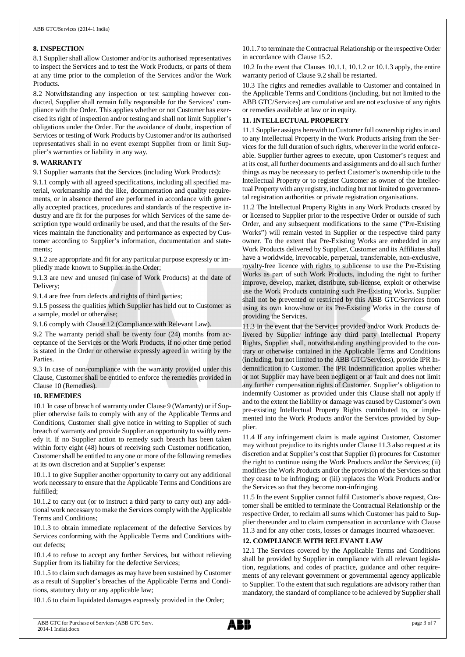## **8. INSPECTION**

8.1 Supplier shall allow Customer and/or its authorised representatives to inspect the Services and to test the Work Products, or parts of them at any time prior to the completion of the Services and/or the Work Products.

8.2 Notwithstanding any inspection or test sampling however conducted, Supplier shall remain fully responsible for the Services' compliance with the Order. This applies whether or not Customer has exercised its right of inspection and/or testing and shall not limit Supplier's obligations under the Order. For the avoidance of doubt, inspection of Services or testing of Work Products by Customer and/or its authorised representatives shall in no event exempt Supplier from or limit Supplier's warranties or liability in any way.

## **9. WARRANTY**

9.1 Supplier warrants that the Services (including Work Products):

9.1.1 comply with all agreed specifications, including all specified material, workmanship and the like, documentation and quality requirements, or in absence thereof are performed in accordance with generally accepted practices, procedures and standards of the respective industry and are fit for the purposes for which Services of the same description type would ordinarily be used, and that the results of the Services maintain the functionality and performance as expected by Customer according to Supplier's information, documentation and statements;

9.1.2 are appropriate and fit for any particular purpose expressly or impliedly made known to Supplier in the Order;

9.1.3 are new and unused (in case of Work Products) at the date of Delivery;

9.1.4 are free from defects and rights of third parties;

9.1.5 possess the qualities which Supplier has held out to Customer as a sample, model or otherwise;

9.1.6 comply with Clause 12 (Compliance with Relevant Law).

9.2 The warranty period shall be twenty four (24) months from acceptance of the Services or the Work Products, if no other time period is stated in the Order or otherwise expressly agreed in writing by the Parties.

9.3 In case of non-compliance with the warranty provided under this Clause, Customer shall be entitled to enforce the remedies provided in Clause 10 (Remedies).

## **10. REMEDIES**

10.1 In case of breach of warranty under Clause 9 (Warranty) or if Supplier otherwise fails to comply with any of the Applicable Terms and Conditions, Customer shall give notice in writing to Supplier of such breach of warranty and provide Supplier an opportunity to swiftly remedy it. If no Supplier action to remedy such breach has been taken within forty eight (48) hours of receiving such Customer notification, Customer shall be entitled to any one or more of the following remedies at its own discretion and at Supplier's expense:

10.1.1 to give Supplier another opportunity to carry out any additional work necessary to ensure that the Applicable Terms and Conditions are fulfilled;

10.1.2 to carry out (or to instruct a third party to carry out) any additional work necessary to make the Services comply with the Applicable Terms and Conditions;

10.1.3 to obtain immediate replacement of the defective Services by Services conforming with the Applicable Terms and Conditions without defects;

10.1.4 to refuse to accept any further Services, but without relieving Supplier from its liability for the defective Services;

10.1.5 to claim such damages as may have been sustained by Customer as a result of Supplier's breaches of the Applicable Terms and Conditions, statutory duty or any applicable law;

10.1.6 to claim liquidated damages expressly provided in the Order;

10.1.7 to terminate the Contractual Relationship or the respective Order in accordance with Clause 15.2.

10.2 In the event that Clauses 10.1.1, 10.1.2 or 10.1.3 apply, the entire warranty period of Clause 9.2 shall be restarted.

10.3 The rights and remedies available to Customer and contained in the Applicable Terms and Conditions (including, but not limited to the ABB GTC/Services) are cumulative and are not exclusive of any rights or remedies available at law or in equity.

## **11. INTELLECTUAL PROPERTY**

11.1 Supplier assigns herewith to Customer full ownership rights in and to any Intellectual Property in the Work Products arising from the Services for the full duration of such rights, wherever in the world enforceable. Supplier further agrees to execute, upon Customer's request and at its cost, all further documents and assignments and do all such further things as may be necessary to perfect Customer's ownership title to the Intellectual Property or to register Customer as owner of the Intellectual Property with any registry, including but not limited to governmental registration authorities or private registration organisations.

11.2 The Intellectual Property Rights in any Work Products created by or licensed to Supplier prior to the respective Order or outside of such Order, and any subsequent modifications to the same ("Pre-Existing Works") will remain vested in Supplier or the respective third party owner. To the extent that Pre-Existing Works are embedded in any Work Products delivered by Supplier, Customer and its Affiliates shall have a worldwide, irrevocable, perpetual, transferrable, non-exclusive, royalty-free licence with rights to sublicense to use the Pre-Existing Works as part of such Work Products, including the right to further improve, develop, market, distribute, sub-license, exploit or otherwise use the Work Products containing such Pre-Existing Works. Supplier shall not be prevented or restricted by this ABB GTC/Services from using its own know-how or its Pre-Existing Works in the course of providing the Services.

11.3 In the event that the Services provided and/or Work Products delivered by Supplier infringe any third party Intellectual Property Rights, Supplier shall, notwithstanding anything provided to the contrary or otherwise contained in the Applicable Terms and Conditions (including, but not limited to the ABB GTC/Services), provide IPR Indemnification to Customer. The IPR Indemnification applies whether or not Supplier may have been negligent or at fault and does not limit any further compensation rights of Customer. Supplier's obligation to indemnify Customer as provided under this Clause shall not apply if and to the extent the liability or damage was caused by Customer's own pre-existing Intellectual Property Rights contributed to, or implemented into the Work Products and/or the Services provided by Supplier.

11.4 If any infringement claim is made against Customer, Customer may without prejudice to its rights under Clause 11.3 also request at its discretion and at Supplier's cost that Supplier (i) procures for Customer the right to continue using the Work Products and/or the Services; (ii) modifies the Work Products and/or the provision of the Services so that they cease to be infringing; or (iii) replaces the Work Products and/or the Services so that they become non-infringing.

11.5 In the event Supplier cannot fulfil Customer's above request, Customer shall be entitled to terminate the Contractual Relationship or the respective Order, to reclaim all sums which Customer has paid to Supplier thereunder and to claim compensation in accordance with Clause 11.3 and for any other costs, losses or damages incurred whatsoever.

## **12. COMPLIANCE WITH RELEVANT LAW**

12.1 The Services covered by the Applicable Terms and Conditions shall be provided by Supplier in compliance with all relevant legislation, regulations, and codes of practice, guidance and other requirements of any relevant government or governmental agency applicable to Supplier. To the extent that such regulations are advisory rather than mandatory, the standard of compliance to be achieved by Supplier shall

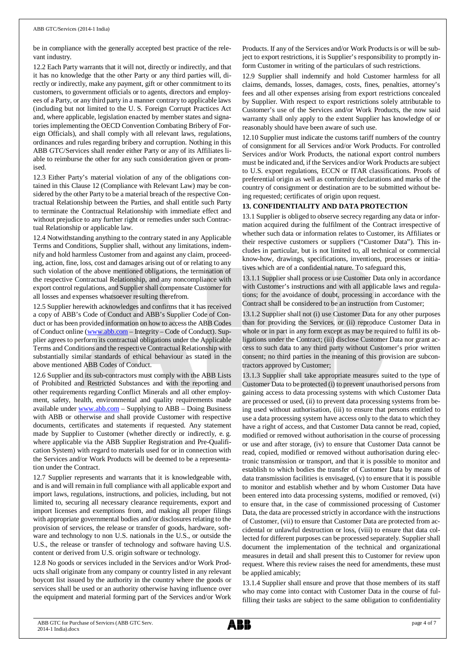be in compliance with the generally accepted best practice of the relevant industry.

12.2 Each Party warrants that it will not, directly or indirectly, and that it has no knowledge that the other Party or any third parties will, directly or indirectly, make any payment, gift or other commitment to its customers, to government officials or to agents, directors and employees of a Party, or any third party in a manner contrary to applicable laws (including but not limited to the U. S. Foreign Corrupt Practices Act and, where applicable, legislation enacted by member states and signatories implementing the OECD Convention Combating Bribery of Foreign Officials), and shall comply with all relevant laws, regulations, ordinances and rules regarding bribery and corruption. Nothing in this ABB GTC/Services shall render either Party or any of its Affiliates liable to reimburse the other for any such consideration given or promised.

12.3 Either Party's material violation of any of the obligations contained in this Clause 12 (Compliance with Relevant Law) may be considered by the other Party to be a material breach of the respective Contractual Relationship between the Parties, and shall entitle such Party to terminate the Contractual Relationship with immediate effect and without prejudice to any further right or remedies under such Contractual Relationship or applicable law.

12.4 Notwithstanding anything to the contrary stated in any Applicable Terms and Conditions, Supplier shall, without any limitations, indemnify and hold harmless Customer from and against any claim, proceeding, action, fine, loss, cost and damages arising out of or relating to any such violation of the above mentioned obligations, the termination of the respective Contractual Relationship, and any noncompliance with export control regulations, and Supplier shall compensate Customer for all losses and expenses whatsoever resulting therefrom.

12.5 Supplier herewith acknowledges and confirms that it has received a copy of ABB's Code of Conduct and ABB's Supplier Code of Conduct or has been provided information on how to access the ABB Codes of Conduct online ([www.abb.com](http://www.abb.com/) – Integrity – Code of Conduct). Supplier agrees to perform its contractual obligations under the Applicable Terms and Conditions and the respective Contractual Relationship with substantially similar standards of ethical behaviour as stated in the above mentioned ABB Codes of Conduct.

12.6 Supplier and its sub-contractors must comply with the ABB Lists of Prohibited and Restricted Substances and with the reporting and other requirements regarding Conflict Minerals and all other employment, safety, health, environmental and quality requirements made available under [www.abb.com](http://www.abb.com/) – Supplying to ABB – Doing Business with ABB or otherwise and shall provide Customer with respective documents, certificates and statements if requested. Any statement made by Supplier to Customer (whether directly or indirectly, e. g. where applicable via the ABB Supplier Registration and Pre-Qualification System) with regard to materials used for or in connection with the Services and/or Work Products will be deemed to be a representation under the Contract.

12.7 Supplier represents and warrants that it is knowledgeable with, and is and will remain in full compliance with all applicable export and import laws, regulations, instructions, and policies, including, but not limited to, securing all necessary clearance requirements, export and import licenses and exemptions from, and making all proper filings with appropriate governmental bodies and/or disclosures relating to the provision of services, the release or transfer of goods, hardware, software and technology to non U.S. nationals in the U.S., or outside the U.S., the release or transfer of technology and software having U.S. content or derived from U.S. origin software or technology.

12.8 No goods or services included in the Services and/or Work Products shall originate from any company or country listed in any relevant boycott list issued by the authority in the country where the goods or services shall be used or an authority otherwise having influence over the equipment and material forming part of the Services and/or Work

Products. If any of the Services and/or Work Products is or will be subject to export restrictions, it is Supplier's responsibility to promptly inform Customer in writing of the particulars of such restrictions.

12.9 Supplier shall indemnify and hold Customer harmless for all claims, demands, losses, damages, costs, fines, penalties, attorney's fees and all other expenses arising from export restrictions concealed by Supplier. With respect to export restrictions solely attributable to Customer's use of the Services and/or Work Products, the now said warranty shall only apply to the extent Supplier has knowledge of or reasonably should have been aware of such use.

12.10 Supplier must indicate the customs tariff numbers of the country of consignment for all Services and/or Work Products. For controlled Services and/or Work Products, the national export control numbers must be indicated and, if the Services and/or Work Products are subject to U.S. export regulations, ECCN or ITAR classifications. Proofs of preferential origin as well as conformity declarations and marks of the country of consignment or destination are to be submitted without being requested; certificates of origin upon request.

## **13. CONFIDENTIALITY AND DATA PROTECTION**

13.1 Supplier is obliged to observe secrecy regarding any data or information acquired during the fulfilment of the Contract irrespective of whether such data or information relates to Customer, its Affiliates or their respective customers or suppliers ("Customer Data"). This includes in particular, but is not limited to, all technical or commercial know-how, drawings, specifications, inventions, processes or initiatives which are of a confidential nature. To safeguard this,

13.1.1 Supplier shall process or use Customer Data only in accordance with Customer's instructions and with all applicable laws and regulations; for the avoidance of doubt, processing in accordance with the Contract shall be considered to be an instruction from Customer;

13.1.2 Supplier shall not (i) use Customer Data for any other purposes than for providing the Services, or (ii) reproduce Customer Data in whole or in part in any form except as may be required to fulfil its obligations under the Contract; (iii) disclose Customer Data nor grant access to such data to any third party without Customer's prior written consent; no third parties in the meaning of this provision are subcontractors approved by Customer;

13.1.3 Supplier shall take appropriate measures suited to the type of Customer Data to be protected (i) to prevent unauthorised persons from gaining access to data processing systems with which Customer Data are processed or used, (ii) to prevent data processing systems from being used without authorisation, (iii) to ensure that persons entitled to use a data processing system have access only to the data to which they have a right of access, and that Customer Data cannot be read, copied, modified or removed without authorisation in the course of processing or use and after storage, (iv) to ensure that Customer Data cannot be read, copied, modified or removed without authorisation during electronic transmission or transport, and that it is possible to monitor and establish to which bodies the transfer of Customer Data by means of data transmission facilities is envisaged, (v) to ensure that it is possible to monitor and establish whether and by whom Customer Data have been entered into data processing systems, modified or removed, (vi) to ensure that, in the case of commissioned processing of Customer Data, the data are processed strictly in accordance with the instructions of Customer, (vii) to ensure that Customer Data are protected from accidental or unlawful destruction or loss, (viii) to ensure that data collected for different purposes can be processed separately. Supplier shall document the implementation of the technical and organizational measures in detail and shall present this to Customer for review upon request. Where this review raises the need for amendments, these must be applied amicably;

13.1.4 Supplier shall ensure and prove that those members of its staff who may come into contact with Customer Data in the course of fulfilling their tasks are subject to the same obligation to confidentiality

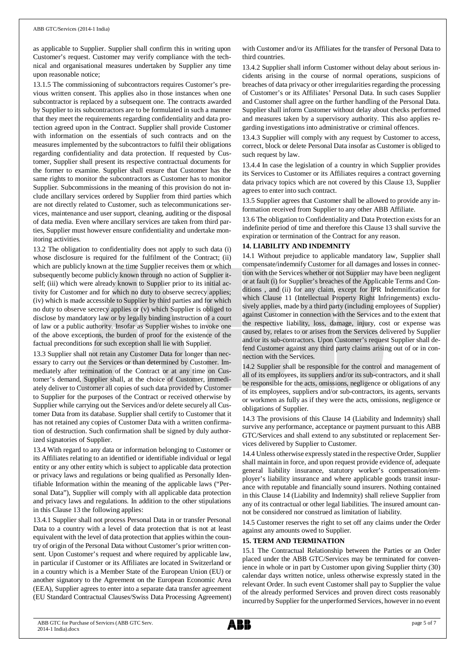as applicable to Supplier. Supplier shall confirm this in writing upon Customer's request. Customer may verify compliance with the technical and organisational measures undertaken by Supplier any time upon reasonable notice;

13.1.5 The commissioning of subcontractors requires Customer's previous written consent. This applies also in those instances when one subcontractor is replaced by a subsequent one. The contracts awarded by Supplier to its subcontractors are to be formulated in such a manner that they meet the requirements regarding confidentiality and data protection agreed upon in the Contract. Supplier shall provide Customer with information on the essentials of such contracts and on the measures implemented by the subcontractors to fulfil their obligations regarding confidentiality and data protection. If requested by Customer, Supplier shall present its respective contractual documents for the former to examine. Supplier shall ensure that Customer has the same rights to monitor the subcontractors as Customer has to monitor Supplier. Subcommissions in the meaning of this provision do not include ancillary services ordered by Supplier from third parties which are not directly related to Customer, such as telecommunications services, maintenance and user support, cleaning, auditing or the disposal of data media. Even where ancillary services are taken from third parties, Supplier must however ensure confidentiality and undertake monitoring activities.

13.2 The obligation to confidentiality does not apply to such data (i) whose disclosure is required for the fulfilment of the Contract; (ii) which are publicly known at the time Supplier receives them or which subsequently become publicly known through no action of Supplier itself; (iii) which were already known to Supplier prior to its initial activity for Customer and for which no duty to observe secrecy applies; (iv) which is made accessible to Supplier by third parties and for which no duty to observe secrecy applies or (v) which Supplier is obliged to disclose by mandatory law or by legally binding instruction of a court of law or a public authority. Insofar as Supplier wishes to invoke one of the above exceptions, the burden of proof for the existence of the factual preconditions for such exception shall lie with Supplier.

13.3 Supplier shall not retain any Customer Data for longer than necessary to carry out the Services or than determined by Customer. Immediately after termination of the Contract or at any time on Customer's demand, Supplier shall, at the choice of Customer, immediately deliver to Customer all copies of such data provided by Customer to Supplier for the purposes of the Contract or received otherwise by Supplier while carrying out the Services and/or delete securely all Customer Data from its database. Supplier shall certify to Customer that it has not retained any copies of Customer Data with a written confirmation of destruction. Such confirmation shall be signed by duly authorized signatories of Supplier.

13.4 With regard to any data or information belonging to Customer or its Affiliates relating to an identified or identifiable individual or legal entity or any other entity which is subject to applicable data protection or privacy laws and regulations or being qualified as Personally Identifiable Information within the meaning of the applicable laws ("Personal Data"), Supplier will comply with all applicable data protection and privacy laws and regulations. In addition to the other stipulations in this Clause 13 the following applies:

13.4.1 Supplier shall not process Personal Data in or transfer Personal Data to a country with a level of data protection that is not at least equivalent with the level of data protection that applies within the country of origin of the Personal Data without Customer's prior written consent. Upon Customer's request and where required by applicable law, in particular if Customer or its Affiliates are located in Switzerland or in a country which is a Member State of the European Union (EU) or another signatory to the Agreement on the European Economic Area (EEA), Supplier agrees to enter into a separate data transfer agreement (EU Standard Contractual Clauses/Swiss Data Processing Agreement) with Customer and/or its Affiliates for the transfer of Personal Data to third countries.

13.4.2 Supplier shall inform Customer without delay about serious incidents arising in the course of normal operations, suspicions of breaches of data privacy or other irregularities regarding the processing of Customer's or its Affiliates' Personal Data. In such cases Supplier and Customer shall agree on the further handling of the Personal Data. Supplier shall inform Customer without delay about checks performed and measures taken by a supervisory authority. This also applies regarding investigations into administrative or criminal offences.

13.4.3 Supplier will comply with any request by Customer to access, correct, block or delete Personal Data insofar as Customer is obliged to such request by law.

13.4.4 In case the legislation of a country in which Supplier provides its Services to Customer or its Affiliates requires a contract governing data privacy topics which are not covered by this Clause 13, Supplier agrees to enter into such contract.

13.5 Supplier agrees that Customer shall be allowed to provide any information received from Supplier to any other ABB Affiliate.

13.6 The obligation to Confidentiality and Data Protection exists for an indefinite period of time and therefore this Clause 13 shall survive the expiration or termination of the Contract for any reason.

## **14. LIABILITY AND INDEMNITY**

14.1 Without prejudice to applicable mandatory law, Supplier shall compensate/indemnify Customer for all damages and losses in connection with the Services whether or not Supplier may have been negligent or at fault (i) for Supplier's breaches of the Applicable Terms and Conditions , and (ii) for any claim, except for IPR Indemnification for which Clause 11 (Intellectual Property Right Infringements) exclusively applies, made by a third party (including employees of Supplier) against Customer in connection with the Services and to the extent that the respective liability, loss, damage, injury, cost or expense was caused by, relates to or arises from the Services delivered by Supplier and/or its sub-contractors. Upon Customer's request Supplier shall defend Customer against any third party claims arising out of or in connection with the Services.

14.2 Supplier shall be responsible for the control and management of all of its employees, its suppliers and/or its sub-contractors, and it shall be responsible for the acts, omissions, negligence or obligations of any of its employees, suppliers and/or sub-contractors, its agents, servants or workmen as fully as if they were the acts, omissions, negligence or obligations of Supplier.

14.3 The provisions of this Clause 14 (Liability and Indemnity) shall survive any performance, acceptance or payment pursuant to this ABB GTC/Services and shall extend to any substituted or replacement Services delivered by Supplier to Customer.

14.4 Unless otherwise expressly stated in the respective Order, Supplier shall maintain in force, and upon request provide evidence of, adequate general liability insurance, statutory worker's compensation/employer's liability insurance and where applicable goods transit insurance with reputable and financially sound insurers. Nothing contained in this Clause 14 (Liability and Indemnity) shall relieve Supplier from any of its contractual or other legal liabilities. The insured amount cannot be considered nor construed as limitation of liability.

14.5 Customer reserves the right to set off any claims under the Order against any amounts owed to Supplier.

## **15. TERM AND TERMINATION**

15.1 The Contractual Relationship between the Parties or an Order placed under the ABB GTC/Services may be terminated for convenience in whole or in part by Customer upon giving Supplier thirty (30) calendar days written notice, unless otherwise expressly stated in the relevant Order. In such event Customer shall pay to Supplier the value of the already performed Services and proven direct costs reasonably incurred by Supplier for the unperformed Services, however in no event

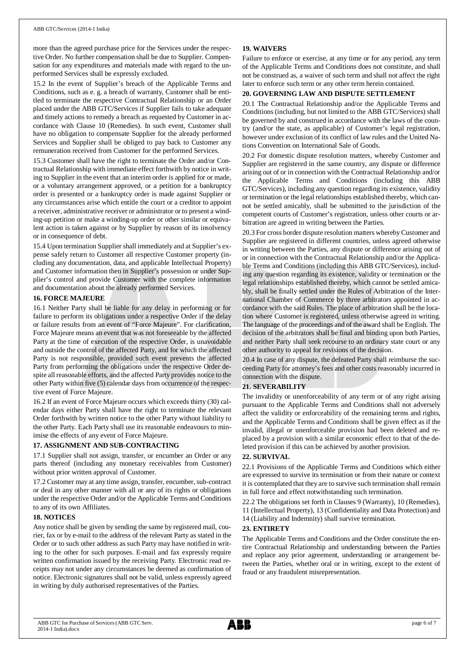more than the agreed purchase price for the Services under the respective Order. No further compensation shall be due to Supplier. Compensation for any expenditures and materials made with regard to the unperformed Services shall be expressly excluded.

15.2 In the event of Supplier's breach of the Applicable Terms and Conditions, such as e. g. a breach of warranty, Customer shall be entitled to terminate the respective Contractual Relationship or an Order placed under the ABB GTC/Services if Supplier fails to take adequate and timely actions to remedy a breach as requested by Customer in accordance with Clause 10 (Remedies). In such event, Customer shall have no obligation to compensate Supplier for the already performed Services and Supplier shall be obliged to pay back to Customer any remuneration received from Customer for the performed Services.

15.3 Customer shall have the right to terminate the Order and/or Contractual Relationship with immediate effect forthwith by notice in writing to Supplier in the event that an interim order is applied for or made, or a voluntary arrangement approved, or a petition for a bankruptcy order is presented or a bankruptcy order is made against Supplier or any circumstances arise which entitle the court or a creditor to appoint a receiver, administrative receiver or administrator or to present a winding-up petition or make a winding-up order or other similar or equivalent action is taken against or by Supplier by reason of its insolvency or in consequence of debt.

15.4 Upon termination Supplier shall immediately and at Supplier's expense safely return to Customer all respective Customer property (including any documentation, data, and applicable Intellectual Property) and Customer information then in Supplier's possession or under Supplier's control and provide Customer with the complete information and documentation about the already performed Services.

#### **16. FORCE MAJEURE**

16.1 Neither Party shall be liable for any delay in performing or for failure to perform its obligations under a respective Order if the delay or failure results from an event of "Force Majeure". For clarification, Force Majeure means an event that was not foreseeable by the affected Party at the time of execution of the respective Order, is unavoidable and outside the control of the affected Party, and for which the affected Party is not responsible, provided such event prevents the affected Party from performing the obligations under the respective Order despite all reasonable efforts, and the affected Party provides notice to the other Party within five (5) calendar days from occurrence of the respective event of Force Majeure.

16.2 If an event of Force Majeure occurs which exceeds thirty (30) calendar days either Party shall have the right to terminate the relevant Order forthwith by written notice to the other Party without liability to the other Party. Each Party shall use its reasonable endeavours to minimise the effects of any event of Force Majeure.

## **17. ASSIGNMENT AND SUB-CONTRACTING**

17.1 Supplier shall not assign, transfer, or encumber an Order or any parts thereof (including any monetary receivables from Customer) without prior written approval of Customer.

17.2 Customer may at any time assign, transfer, encumber, sub-contract or deal in any other manner with all or any of its rights or obligations under the respective Order and/or the Applicable Terms and Conditions to any of its own Affiliates.

### **18. NOTICES**

Any notice shall be given by sending the same by registered mail, courier, fax or by e-mail to the address of the relevant Party as stated in the Order or to such other address as such Party may have notified in writing to the other for such purposes. E-mail and fax expressly require written confirmation issued by the receiving Party. Electronic read receipts may not under any circumstances be deemed as confirmation of notice. Electronic signatures shall not be valid, unless expressly agreed in writing by duly authorised representatives of the Parties.

## **19. WAIVERS**

Failure to enforce or exercise, at any time or for any period, any term of the Applicable Terms and Conditions does not constitute, and shall not be construed as, a waiver of such term and shall not affect the right later to enforce such term or any other term herein contained.

## **20. GOVERNING LAW AND DISPUTE SETTLEMENT**

20.1 The Contractual Relationship and/or the Applicable Terms and Conditions (including, but not limited to the ABB GTC/Services) shall be governed by and construed in accordance with the laws of the country (and/or the state, as applicable) of Customer's legal registration, however under exclusion of its conflict of law rules and the United Nations Convention on International Sale of Goods.

20.2 For domestic dispute resolution matters, whereby Customer and Supplier are registered in the same country, any dispute or difference arising out of or in connection with the Contractual Relationship and/or the Applicable Terms and Conditions (including this ABB GTC/Services), including any question regarding its existence, validity or termination or the legal relationships established thereby, which cannot be settled amicably, shall be submitted to the jurisdiction of the competent courts of Customer's registration, unless other courts or arbitration are agreed in writing between the Parties.

20.3 For cross border dispute resolution matters whereby Customer and Supplier are registered in different countries, unless agreed otherwise in writing between the Parties, any dispute or difference arising out of or in connection with the Contractual Relationship and/or the Applicable Terms and Conditions (including this ABB GTC/Services), including any question regarding its existence, validity or termination or the legal relationships established thereby, which cannot be settled amicably, shall be finally settled under the Rules of Arbitration of the International Chamber of Commerce by three arbitrators appointed in accordance with the said Rules. The place of arbitration shall be the location where Customer is registered, unless otherwise agreed in writing. The language of the proceedings and of the award shall be English. The decision of the arbitrators shall be final and binding upon both Parties, and neither Party shall seek recourse to an ordinary state court or any other authority to appeal for revisions of the decision.

20.4 In case of any dispute, the defeated Party shall reimburse the succeeding Party for attorney's fees and other costs reasonably incurred in connection with the dispute.

## **21. SEVERABILITY**

The invalidity or unenforceability of any term or of any right arising pursuant to the Applicable Terms and Conditions shall not adversely affect the validity or enforceability of the remaining terms and rights, and the Applicable Terms and Conditions shall be given effect as if the invalid, illegal or unenforceable provision had been deleted and replaced by a provision with a similar economic effect to that of the deleted provision if this can be achieved by another provision.

#### **22. SURVIVAL**

22.1 Provisions of the Applicable Terms and Conditions which either are expressed to survive its termination or from their nature or context it is contemplated that they are to survive such termination shall remain in full force and effect notwithstanding such termination.

22.2 The obligations set forth in Clauses 9 (Warranty), 10 (Remedies), 11 (Intellectual Property), 13 (Confidentiality and Data Protection) and

14 (Liability and Indemnity) shall survive termination.

#### **23. ENTIRETY**

The Applicable Terms and Conditions and the Order constitute the entire Contractual Relationship and understanding between the Parties and replace any prior agreement, understanding or arrangement between the Parties, whether oral or in writing, except to the extent of fraud or any fraudulent misrepresentation.